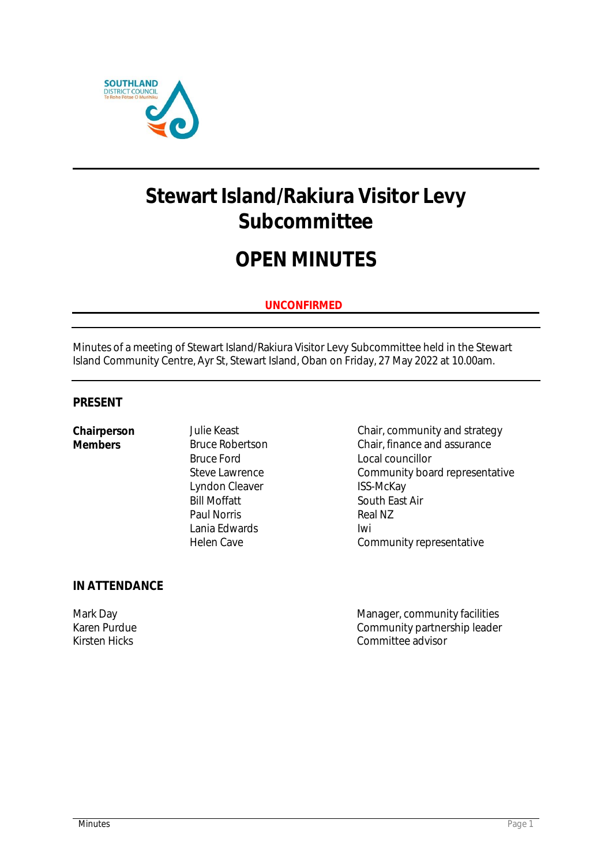

# **Stewart Island/Rakiura Visitor Levy Subcommittee**

# **OPEN MINUTES**

## **UNCONFIRMED**

Minutes of a meeting of Stewart Island/Rakiura Visitor Levy Subcommittee held in the Stewart Island Community Centre, Ayr St, Stewart Island, Oban on Friday, 27 May 2022 at 10.00am.

### **PRESENT**

Bruce Ford **Local councillor** Lyndon Cleaver ISS-McKay<br>Bill Moffatt South East Paul Norris Lania Edwards **Iwi** 

**IN ATTENDANCE**

Chairperson Julie Keast Chair, community and strategy<br>
Members Bruce Robertson Chair, finance and assurance **Chair, finance and assurance** Steve Lawrence Community board representative South East Air<br>Real N7 Helen Cave **Community representative** 

Mark Day Manager, community facilities Karen Purdue<br>
Kirsten Hicks<br>
Kirsten Hicks Committee advisor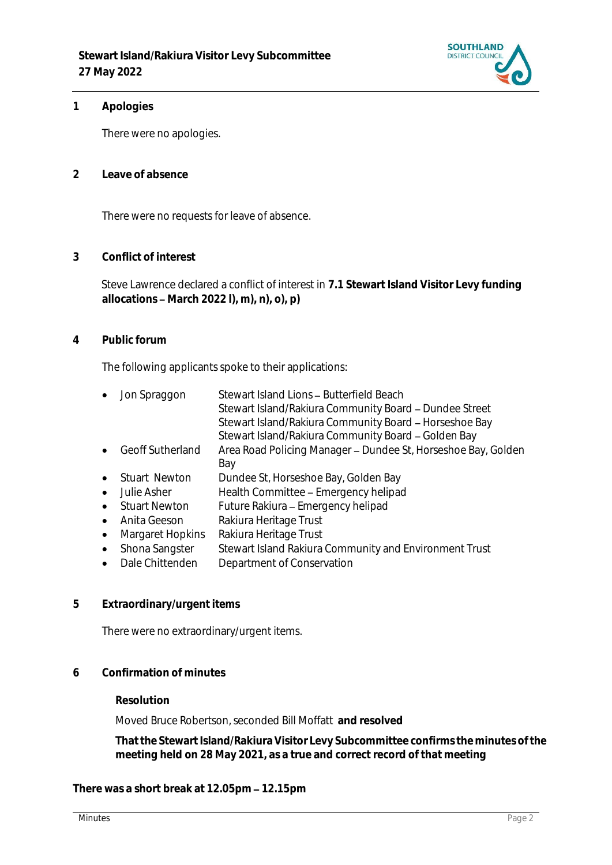

#### **1 Apologies**

There were no apologies.

**2 Leave of absence** 

There were no requests for leave of absence.

**3 Conflict of interest**

Steve Lawrence declared a conflict of interest in **7.1 Stewart Island Visitor Levy funding allocations March 2022 l), m), n), o), p)**

**4 Public forum**

The following applicants spoke to their applications:

- Jon Spraggon Stewart Island Lions Butterfield Beach Stewart Island/Rakiura Community Board - Dundee Street Stewart Island/Rakiura Community Board - Horseshoe Bay Stewart Island/Rakiura Community Board - Golden Bay
- Geoff Sutherland Area Road Policing Manager Dundee St, Horseshoe Bay, Golden Bay
- Stuart Newton Dundee St, Horseshoe Bay, Golden Bay
- Julie Asher Health Committee Emergency helipad
- Stuart Newton Future Rakiura Emergency helipad
- Anita Geeson Rakiura Heritage Trust
- Margaret Hopkins Rakiura Heritage Trust
- Shona Sangster Stewart Island Rakiura Community and Environment Trust
- Dale Chittenden Department of Conservation
- **5 Extraordinary/urgent items**

There were no extraordinary/urgent items.

**6 Confirmation of minutes**

#### **Resolution**

Moved Bruce Robertson, seconded Bill Moffatt **and resolved**

**That the Stewart Island/Rakiura Visitor Levy Subcommittee confirms the minutes of the meeting held on 28 May 2021, as a true and correct record of that meeting**

There was a short break at 12.05pm - 12.15pm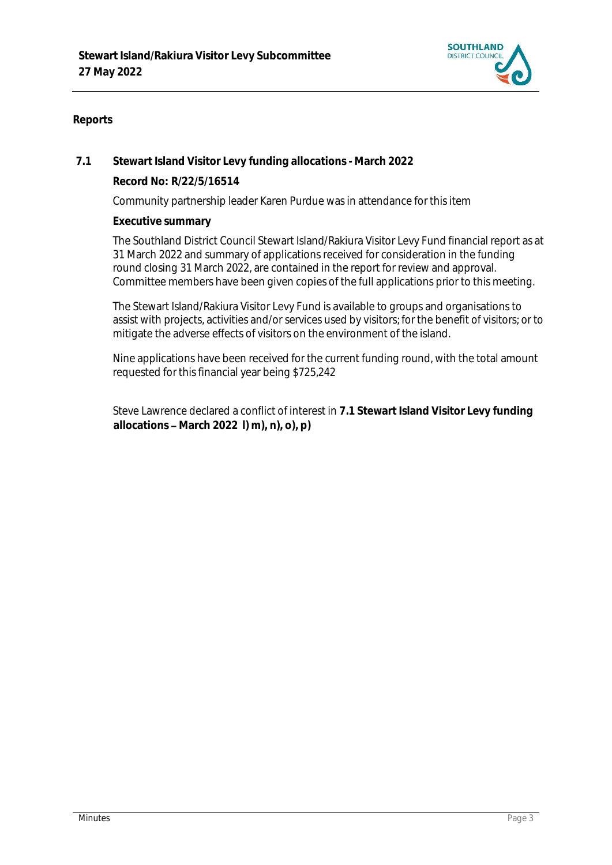

### **Reports**

**7.1 Stewart Island Visitor Levy funding allocations - March 2022**

**Record No: R/22/5/16514**

Community partnership leader Karen Purdue was in attendance for this item

**Executive summary**

2 The Southland District Council Stewart Island/Rakiura Visitor Levy Fund financial report as at 31 March 2022 and summary of applications received for consideration in the funding round closing 31 March 2022, are contained in the report for review and approval. Committee members have been given copies of the full applications prior to this meeting.

3 The Stewart Island/Rakiura Visitor Levy Fund is available to groups and organisations to assist with projects, activities and/or services used by visitors; for the benefit of visitors; or to mitigate the adverse effects of visitors on the environment of the island.

Nine applications have been received for the current funding round, with the total amount requested for this financial year being \$725,242

Steve Lawrence declared a conflict of interest in **7.1 Stewart Island Visitor Levy funding allocations March 2022 l) m), n), o), p)**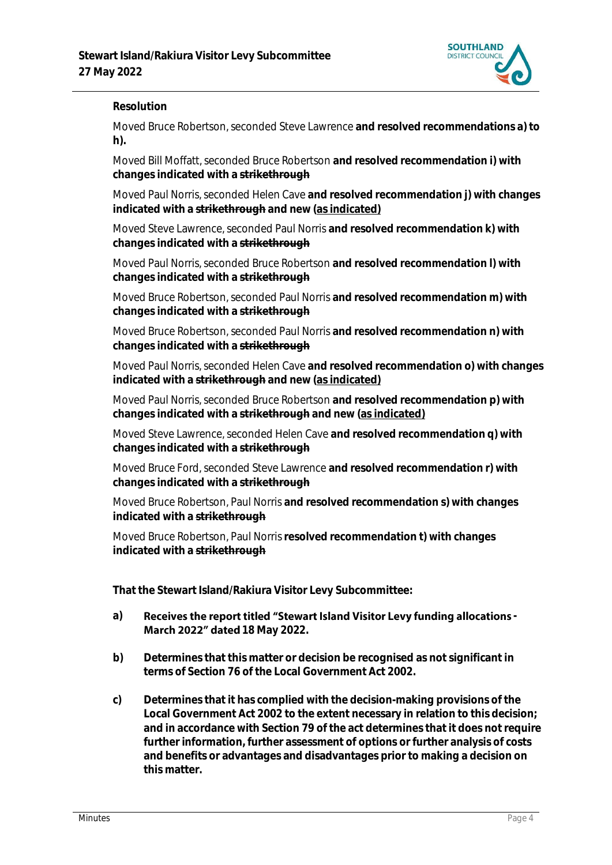

#### **Resolution**

Moved Bruce Robertson, seconded Steve Lawrence **and resolved recommendations a) to h).**

Moved Bill Moffatt, seconded Bruce Robertson **and resolved recommendation i) with changes indicated with a strikethrough**

Moved Paul Norris, seconded Helen Cave **and resolved recommendation j) with changes indicated with a strikethrough and new (as indicated)**

Moved Steve Lawrence, seconded Paul Norris **and resolved recommendation k) with changes indicated with a strikethrough**

Moved Paul Norris, seconded Bruce Robertson **and resolved recommendation l) with changes indicated with a strikethrough**

Moved Bruce Robertson, seconded Paul Norris **and resolved recommendation m) with changes indicated with a strikethrough**

Moved Bruce Robertson, seconded Paul Norris **and resolved recommendation n) with changes indicated with a strikethrough**

Moved Paul Norris, seconded Helen Cave **and resolved recommendation o) with changes indicated with a strikethrough and new (as indicated)**

Moved Paul Norris, seconded Bruce Robertson **and resolved recommendation p) with changes indicated with a strikethrough and new (as indicated)**

Moved Steve Lawrence, seconded Helen Cave **and resolved recommendation q) with changes indicated with a strikethrough**

Moved Bruce Ford, seconded Steve Lawrence **and resolved recommendation r) with changes indicated with a strikethrough**

Moved Bruce Robertson, Paul Norris **and resolved recommendation s) with changes indicated with a strikethrough**

Moved Bruce Robertson, Paul Norris**resolved recommendation t) with changes indicated with a strikethrough**

**That the Stewart Island/Rakiura Visitor Levy Subcommittee:**

- a) Receives the report titled "Stewart Island Visitor Levy funding allocations -**March 2022" dated 18 May 2022.**
- **b) Determines that this matter or decision be recognised as not significant in terms of Section 76 of the Local Government Act 2002.**
- **c) Determines that it has complied with the decision-making provisions of the Local Government Act 2002 to the extent necessary in relation to this decision; and in accordance with Section 79 of the act determines that it does not require further information, further assessment of options or further analysis of costs and benefits or advantages and disadvantages prior to making a decision on this matter.**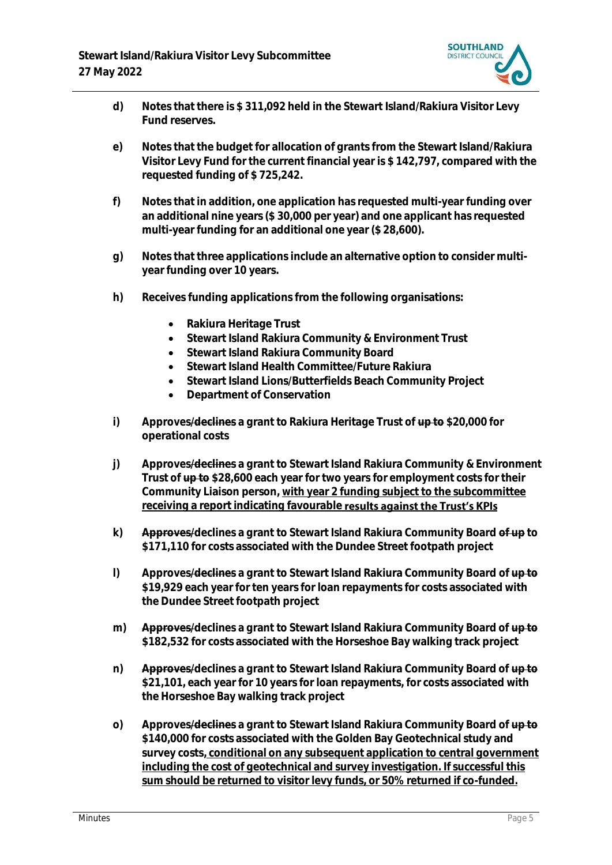

- **d) Notes that there is \$ 311,092 held in the Stewart Island/Rakiura Visitor Levy Fund reserves.**
- **e) Notes that the budget for allocation of grants from the Stewart Island/Rakiura Visitor Levy Fund for the current financial year is \$ 142,797, compared with the requested funding of \$ 725,242.**
- **f) Notes that in addition, one application has requested multi-year funding over an additional nine years (\$ 30,000 per year) and one applicant has requested multi-year funding for an additional one year (\$ 28,600).**
- **g) Notes that three applications include an alternative option to consider multiyear funding over 10 years.**
- **h) Receives funding applications from the following organisations:**
	- **Rakiura Heritage Trust**
	- **Stewart Island Rakiura Community & Environment Trust**
	- **Stewart Island Rakiura Community Board**
	- **Stewart Island Health Committee/Future Rakiura**
	- **Stewart Island Lions/Butterfields Beach Community Project**
	- **Department of Conservation**
- **i) Approves/declines a grant to Rakiura Heritage Trust of up to \$20,000 for operational costs**
- **j) Approves/declines a grant to Stewart Island Rakiura Community & Environment Trust of up to \$28,600 each year for two years for employment costs for their Community Liaison person, with year 2 funding subject to the subcommittee receiving a report indicating favourable results against the Trust's KPIs**
- **k) Approves/declines a grant to Stewart Island Rakiura Community Board of up to \$171,110 for costs associated with the Dundee Street footpath project**
- **l) Approves/declines a grant to Stewart Island Rakiura Community Board of up to \$19,929 each year for ten years for loan repayments for costs associated with the Dundee Street footpath project**
- **m) Approves/declines a grant to Stewart Island Rakiura Community Board of up to \$182,532 for costs associated with the Horseshoe Bay walking track project**
- **n) Approves/declines a grant to Stewart Island Rakiura Community Board of up to \$21,101, each year for 10 years for loan repayments, for costs associated with the Horseshoe Bay walking track project**
- **o) Approves/declines a grant to Stewart Island Rakiura Community Board of up to \$140,000 for costs associated with the Golden Bay Geotechnical study and survey costs, conditional on any subsequent application to central government including the cost of geotechnical and survey investigation. If successful this sum should be returned to visitor levy funds, or 50% returned if co-funded.**